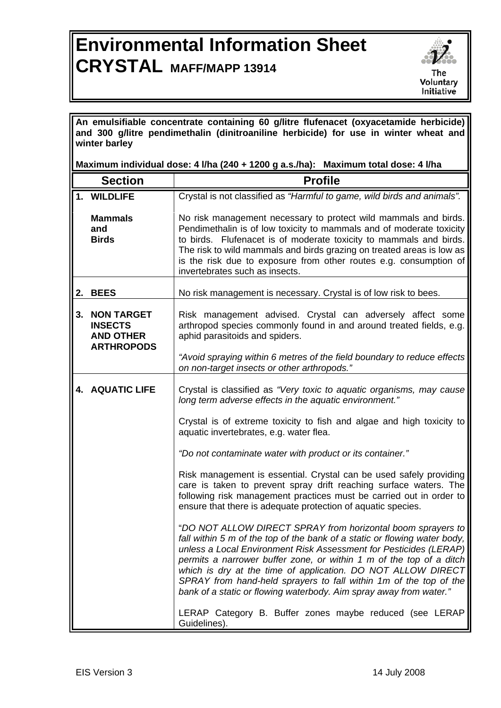## **Environmental Information Sheet CRYSTAL MAFF/MAPP 13914**



**An emulsifiable concentrate containing 60 g/litre flufenacet (oxyacetamide herbicide) and 300 g/litre pendimethalin (dinitroaniline herbicide) for use in winter wheat and winter barley** 

**Maximum individual dose: 4 l/ha (240 + 1200 g a.s./ha): Maximum total dose: 4 l/ha** 

|    | <b>Section</b>                                                               | <b>Profile</b>                                                                                                                                                                                                                                                                                                                                                                                                                                                                                  |
|----|------------------------------------------------------------------------------|-------------------------------------------------------------------------------------------------------------------------------------------------------------------------------------------------------------------------------------------------------------------------------------------------------------------------------------------------------------------------------------------------------------------------------------------------------------------------------------------------|
|    | <b>WILDLIFE</b>                                                              | Crystal is not classified as "Harmful to game, wild birds and animals".                                                                                                                                                                                                                                                                                                                                                                                                                         |
|    | <b>Mammals</b><br>and<br><b>Birds</b>                                        | No risk management necessary to protect wild mammals and birds.<br>Pendimethalin is of low toxicity to mammals and of moderate toxicity<br>to birds. Flufenacet is of moderate toxicity to mammals and birds.<br>The risk to wild mammals and birds grazing on treated areas is low as<br>is the risk due to exposure from other routes e.g. consumption of<br>invertebrates such as insects.                                                                                                   |
|    | 2. BEES                                                                      | No risk management is necessary. Crystal is of low risk to bees.                                                                                                                                                                                                                                                                                                                                                                                                                                |
| 3. | <b>NON TARGET</b><br><b>INSECTS</b><br><b>AND OTHER</b><br><b>ARTHROPODS</b> | Risk management advised. Crystal can adversely affect some<br>arthropod species commonly found in and around treated fields, e.g.<br>aphid parasitoids and spiders.                                                                                                                                                                                                                                                                                                                             |
|    |                                                                              | "Avoid spraying within 6 metres of the field boundary to reduce effects<br>on non-target insects or other arthropods."                                                                                                                                                                                                                                                                                                                                                                          |
|    | <b>4. AQUATIC LIFE</b>                                                       | Crystal is classified as "Very toxic to aquatic organisms, may cause<br>long term adverse effects in the aquatic environment."                                                                                                                                                                                                                                                                                                                                                                  |
|    |                                                                              | Crystal is of extreme toxicity to fish and algae and high toxicity to<br>aquatic invertebrates, e.g. water flea.                                                                                                                                                                                                                                                                                                                                                                                |
|    |                                                                              | "Do not contaminate water with product or its container."                                                                                                                                                                                                                                                                                                                                                                                                                                       |
|    |                                                                              | Risk management is essential. Crystal can be used safely providing<br>care is taken to prevent spray drift reaching surface waters. The<br>following risk management practices must be carried out in order to<br>ensure that there is adequate protection of aquatic species.                                                                                                                                                                                                                  |
|    |                                                                              | "DO NOT ALLOW DIRECT SPRAY from horizontal boom sprayers to<br>fall within 5 m of the top of the bank of a static or flowing water body,<br>unless a Local Environment Risk Assessment for Pesticides (LERAP)<br>permits a narrower buffer zone, or within 1 m of the top of a ditch<br>which is dry at the time of application. DO NOT ALLOW DIRECT<br>SPRAY from hand-held sprayers to fall within 1m of the top of the<br>bank of a static or flowing waterbody. Aim spray away from water." |
|    |                                                                              | LERAP Category B. Buffer zones maybe reduced (see LERAP<br>Guidelines).                                                                                                                                                                                                                                                                                                                                                                                                                         |